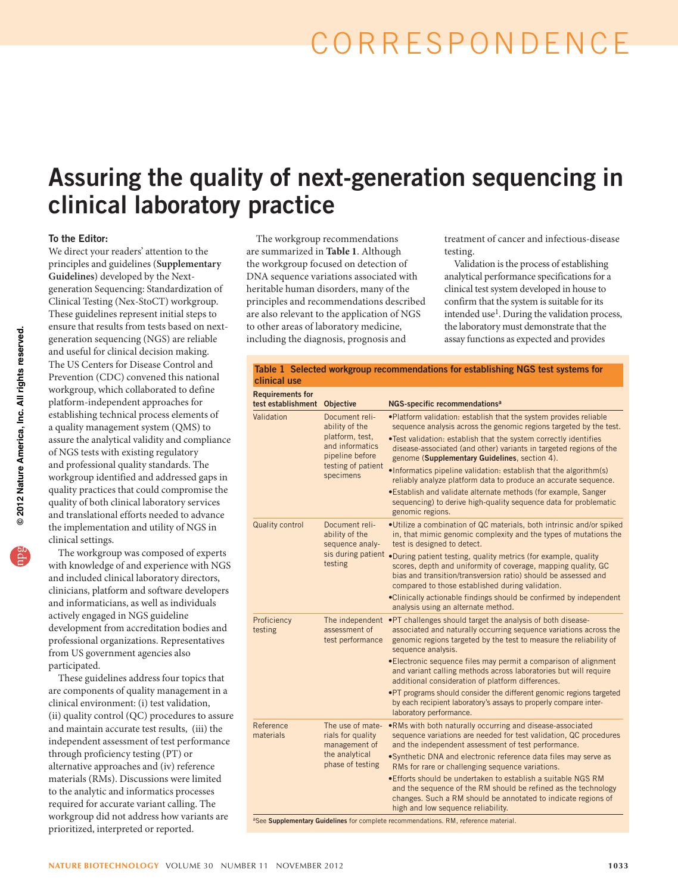# correspondence

# Assuring the quality of next-generation sequencing in clinical laboratory practice

### To the Editor:

We direct your readers' attention to the principles and guidelines (**Supplementary Guidelines**) developed by the Nextgeneration Sequencing: Standardization of Clinical Testing (Nex-StoCT) workgroup. These guidelines represent initial steps to ensure that results from tests based on nextgeneration sequencing (NGS) are reliable and useful for clinical decision making. The US Centers for Disease Control and Prevention (CDC) convened this national workgroup, which collaborated to define platform-independent approaches for establishing technical process elements of a quality management system (QMS) to assure the analytical validity and compliance of NGS tests with existing regulatory and professional quality standards. The workgroup identified and addressed gaps in quality practices that could compromise the quality of both clinical laboratory services and translational efforts needed to advance the implementation and utility of NGS in clinical settings.

The workgroup was composed of experts with knowledge of and experience with NGS and included clinical laboratory directors, clinicians, platform and software developers and informaticians, as well as individuals actively engaged in NGS guideline development from accreditation bodies and professional organizations. Representatives from US government agencies also participated.

These guidelines address four topics that are components of quality management in a clinical environment: (i) test validation, (ii) quality control (QC) procedures to assure and maintain accurate test results, (iii) the independent assessment of test performance through proficiency testing (PT) or alternative approaches and (iv) reference materials (RMs). Discussions were limited to the analytic and informatics processes required for accurate variant calling. The workgroup did not address how variants are prioritized, interpreted or reported.

The workgroup recommendations are summarized in **Table 1**. Although the workgroup focused on detection of DNA sequence variations associated with heritable human disorders, many of the principles and recommendations described are also relevant to the application of NGS to other areas of laboratory medicine, including the diagnosis, prognosis and

treatment of cancer and infectious-disease testing.

Validation is the process of establishing analytical performance specifications for a clinical test system developed in house to confirm that the system is suitable for its intended use<sup>1</sup>. During the validation process, the laboratory must demonstrate that the assay functions as expected and provides

|              | Table 1 Selected workgroup recommendations for establishing NGS test systems for |  |
|--------------|----------------------------------------------------------------------------------|--|
| clinical use |                                                                                  |  |

| <b>Requirements for</b><br>test establishment | Objective                                                                                                                    | NGS-specific recommendations <sup>a</sup>                                                                                                                                                                                                                                                                                                                                                                                                                                                                                                                                                                                                      |
|-----------------------------------------------|------------------------------------------------------------------------------------------------------------------------------|------------------------------------------------------------------------------------------------------------------------------------------------------------------------------------------------------------------------------------------------------------------------------------------------------------------------------------------------------------------------------------------------------------------------------------------------------------------------------------------------------------------------------------------------------------------------------------------------------------------------------------------------|
| Validation                                    | Document reli-<br>ability of the<br>platform, test,<br>and informatics<br>pipeline before<br>testing of patient<br>specimens | . Platform validation: establish that the system provides reliable<br>sequence analysis across the genomic regions targeted by the test.<br>. Test validation: establish that the system correctly identifies<br>disease-associated (and other) variants in targeted regions of the<br>genome (Supplementary Guidelines, section 4).<br>. Informatics pipeline validation: establish that the algorithm(s)<br>reliably analyze platform data to produce an accurate sequence.<br>. Establish and validate alternate methods (for example, Sanger<br>sequencing) to derive high-quality sequence data for problematic<br>genomic regions.       |
| <b>Quality control</b>                        | Document reli-<br>ability of the<br>sequence analy-<br>testing                                                               | .Utilize a combination of QC materials, both intrinsic and/or spiked<br>in, that mimic genomic complexity and the types of mutations the<br>test is designed to detect.<br>sis during patient . During patient testing, quality metrics (for example, quality<br>scores, depth and uniformity of coverage, mapping quality, GC<br>bias and transition/transversion ratio) should be assessed and<br>compared to those established during validation.<br>.Clinically actionable findings should be confirmed by independent<br>analysis using an alternate method.                                                                              |
| Proficiency<br>testing                        | The independent<br>assessment of<br>test performance                                                                         | •PT challenges should target the analysis of both disease-<br>associated and naturally occurring sequence variations across the<br>genomic regions targeted by the test to measure the reliability of<br>sequence analysis.<br>•Electronic sequence files may permit a comparison of alignment<br>and variant calling methods across laboratories but will require<br>additional consideration of platform differences.<br>. PT programs should consider the different genomic regions targeted<br>by each recipient laboratory's assays to properly compare inter-<br>laboratory performance.                                                 |
| Reference<br>materials                        | The use of mate-<br>rials for quality<br>management of<br>the analytical<br>phase of testing                                 | .RMs with both naturally occurring and disease-associated<br>sequence variations are needed for test validation, QC procedures<br>and the independent assessment of test performance.<br>. Synthetic DNA and electronic reference data files may serve as<br>RMs for rare or challenging sequence variations.<br>. Efforts should be undertaken to establish a suitable NGS RM<br>and the sequence of the RM should be refined as the technology<br>changes. Such a RM should be annotated to indicate regions of<br>high and low sequence reliability.<br>aSee Supplementary Guidelines for complete recommendations. RM, reference material. |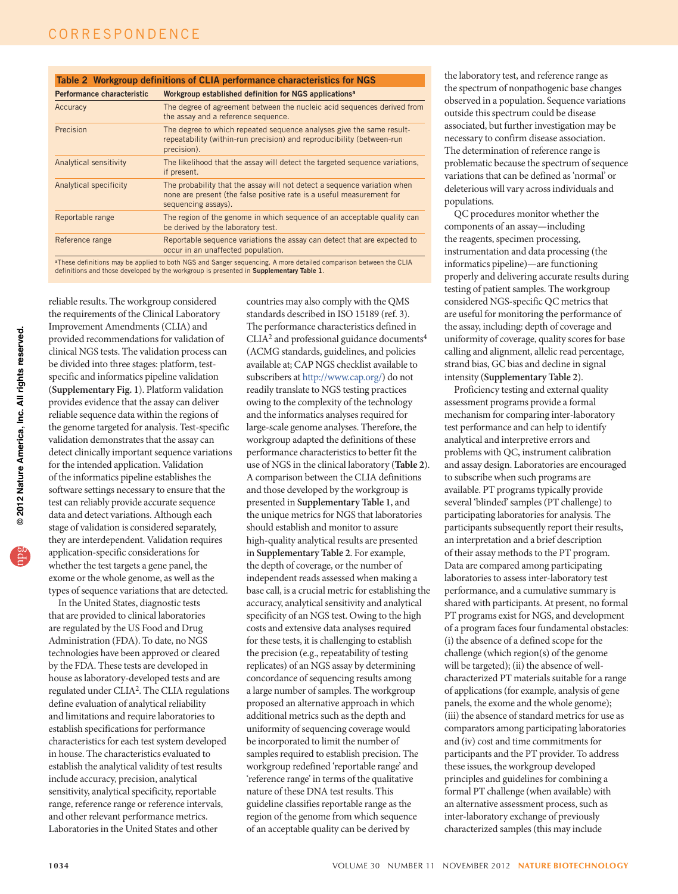Table 2 Workgroup definitions of CLIA performance characteristics for NGS Performance characteristic Workgroup established definition for NGS applications<sup>a</sup>

| Performance characteristic    | <b>WORKER COLLECTED ESTABLISHED OF INITIAL ARTICLE IN A SET OF INCOLLECTED</b>                                                                                           |
|-------------------------------|--------------------------------------------------------------------------------------------------------------------------------------------------------------------------|
| Accuracy                      | The degree of agreement between the nucleic acid sequences derived from<br>the assay and a reference sequence.                                                           |
| Precision                     | The degree to which repeated sequence analyses give the same result-<br>repeatability (within-run precision) and reproducibility (between-run<br>precision).             |
| <b>Analytical sensitivity</b> | The likelihood that the assay will detect the targeted sequence variations,<br>if present.                                                                               |
| <b>Analytical specificity</b> | The probability that the assay will not detect a sequence variation when<br>none are present (the false positive rate is a useful measurement for<br>sequencing assays). |
| Reportable range              | The region of the genome in which sequence of an acceptable quality can<br>be derived by the laboratory test.                                                            |
| Reference range               | Reportable sequence variations the assay can detect that are expected to<br>occur in an unaffected population.                                                           |
|                               | at these definitions may be applied to both NGS and Sanger sequencing A more detailed comparison between the CLIA                                                        |

<sup>a</sup>These definitions may be applied to both NGS and Sanger sequencing. A more detailed comparison between the CLIA<br>definitions and those developed by the workgroup is presented in **Supplementary Table 1**.

reliable results. The workgroup considered the requirements of the Clinical Laboratory Improvement Amendments (CLIA) and provided recommendations for validation of clinical NGS tests. The validation process can be divided into three stages: platform, testspecific and informatics pipeline validation (**Supplementary Fig. 1**). Platform validation provides evidence that the assay can deliver reliable sequence data within the regions of the genome targeted for analysis. Test-specific validation demonstrates that the assay can detect clinically important sequence variations for the intended application. Validation of the informatics pipeline establishes the software settings necessary to ensure that the test can reliably provide accurate sequence data and detect variations. Although each stage of validation is considered separately, they are interdependent. Validation requires application-specific considerations for whether the test targets a gene panel, the exome or the whole genome, as well as the types of sequence variations that are detected.

In the United States, diagnostic tests that are provided to clinical laboratories are regulated by the US Food and Drug Administration (FDA). To date, no NGS technologies have been approved or cleared by the FDA. These tests are developed in house as laboratory-developed tests and are regulated under CLIA<sup>2</sup>. The CLIA regulations define evaluation of analytical reliability and limitations and require laboratories to establish specifications for performance characteristics for each test system developed in house. The characteristics evaluated to establish the analytical validity of test results include accuracy, precision, analytical sensitivity, analytical specificity, reportable range, reference range or reference intervals, and other relevant performance metrics. Laboratories in the United States and other

countries may also comply with the QMS standards described in ISO 15189 (ref. 3). The performance characteristics defined in  $CLIA<sup>2</sup>$  and professional guidance documents<sup>4</sup> (ACMG standards, guidelines, and policies available at; CAP NGS checklist available to subscribers at [http://www.cap.org/\)](http://www.cap.org/) do not readily translate to NGS testing practices owing to the complexity of the technology and the informatics analyses required for large-scale genome analyses. Therefore, the workgroup adapted the definitions of these performance characteristics to better fit the use of NGS in the clinical laboratory (**Table 2**). A comparison between the CLIA definitions and those developed by the workgroup is presented in **Supplementary Table 1**, and the unique metrics for NGS that laboratories should establish and monitor to assure high-quality analytical results are presented in **Supplementary Table 2**. For example, the depth of coverage, or the number of independent reads assessed when making a base call, is a crucial metric for establishing the accuracy, analytical sensitivity and analytical specificity of an NGS test. Owing to the high costs and extensive data analyses required for these tests, it is challenging to establish the precision (e.g., repeatability of testing replicates) of an NGS assay by determining concordance of sequencing results among a large number of samples. The workgroup proposed an alternative approach in which additional metrics such as the depth and uniformity of sequencing coverage would be incorporated to limit the number of samples required to establish precision. The workgroup redefined 'reportable range' and 'reference range' in terms of the qualitative nature of these DNA test results. This guideline classifies reportable range as the region of the genome from which sequence of an acceptable quality can be derived by

the laboratory test, and reference range as the spectrum of nonpathogenic base changes observed in a population. Sequence variations outside this spectrum could be disease associated, but further investigation may be necessary to confirm disease association. The determination of reference range is problematic because the spectrum of sequence variations that can be defined as 'normal' or deleterious will vary across individuals and populations.

QC procedures monitor whether the components of an assay—including the reagents, specimen processing, instrumentation and data processing (the informatics pipeline)—are functioning properly and delivering accurate results during testing of patient samples. The workgroup considered NGS-specific QC metrics that are useful for monitoring the performance of the assay, including: depth of coverage and uniformity of coverage, quality scores for base calling and alignment, allelic read percentage, strand bias, GC bias and decline in signal intensity (**Supplementary Table 2**).

Proficiency testing and external quality assessment programs provide a formal mechanism for comparing inter-laboratory test performance and can help to identify analytical and interpretive errors and problems with QC, instrument calibration and assay design. Laboratories are encouraged to subscribe when such programs are available. PT programs typically provide several 'blinded' samples (PT challenge) to participating laboratories for analysis. The participants subsequently report their results, an interpretation and a brief description of their assay methods to the PT program. Data are compared among participating laboratories to assess inter-laboratory test performance, and a cumulative summary is shared with participants. At present, no formal PT programs exist for NGS, and development of a program faces four fundamental obstacles: (i) the absence of a defined scope for the challenge (which region(s) of the genome will be targeted); (ii) the absence of wellcharacterized PT materials suitable for a range of applications (for example, analysis of gene panels, the exome and the whole genome); (iii) the absence of standard metrics for use as comparators among participating laboratories and (iv) cost and time commitments for participants and the PT provider. To address these issues, the workgroup developed principles and guidelines for combining a formal PT challenge (when available) with an alternative assessment process, such as inter-laboratory exchange of previously characterized samples (this may include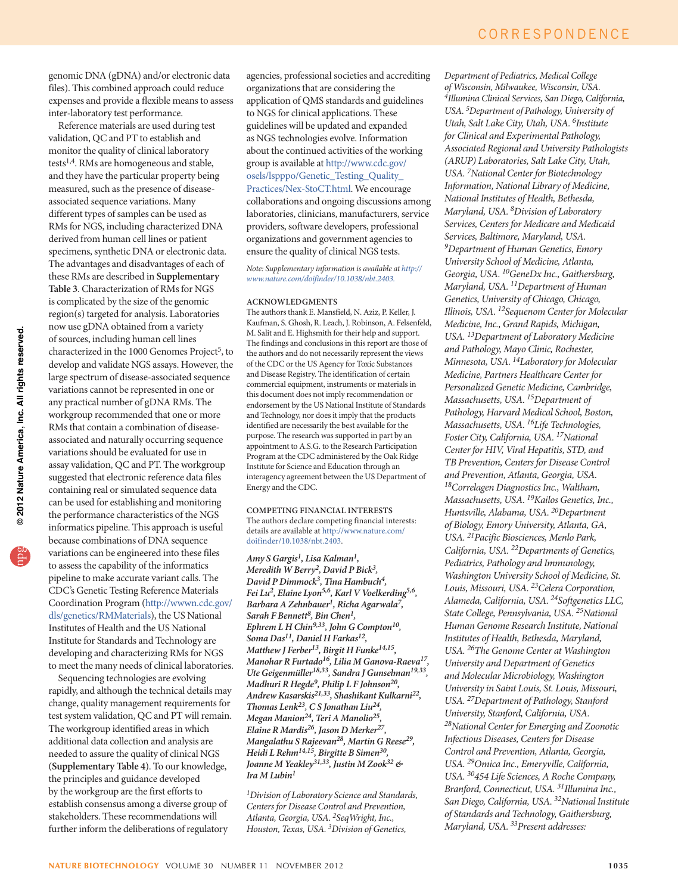genomic DNA (gDNA) and/or electronic data files). This combined approach could reduce expenses and provide a flexible means to assess inter-laboratory test performance.

Reference materials are used during test validation, QC and PT to establish and monitor the quality of clinical laboratory tests1,4. RMs are homogeneous and stable, and they have the particular property being measured, such as the presence of diseaseassociated sequence variations. Many different types of samples can be used as RMs for NGS, including characterized DNA derived from human cell lines or patient specimens, synthetic DNA or electronic data. The advantages and disadvantages of each of these RMs are described in **Supplementary Table 3**. Characterization of RMs for NGS is complicated by the size of the genomic region(s) targeted for analysis. Laboratories now use gDNA obtained from a variety of sources, including human cell lines characterized in the 1000 Genomes Project<sup>5</sup>, to develop and validate NGS assays. However, the large spectrum of disease-associated sequence variations cannot be represented in one or any practical number of gDNA RMs. The workgroup recommended that one or more RMs that contain a combination of diseaseassociated and naturally occurring sequence variations should be evaluated for use in assay validation, QC and PT. The workgroup suggested that electronic reference data files containing real or simulated sequence data can be used for establishing and monitoring the performance characteristics of the NGS informatics pipeline. This approach is useful because combinations of DNA sequence variations can be engineered into these files to assess the capability of the informatics pipeline to make accurate variant calls. The CDC's Genetic Testing Reference Materials Coordination Program (http://wwwn.cdc.gov/ dls/genetics/RMMaterials), the US National Institutes of Health and the US National Institute for Standards and Technology are developing and characterizing RMs for NGS to meet the many needs of clinical laboratories.

Sequencing technologies are evolving rapidly, and although the technical details may change, quality management requirements for test system validation, QC and PT will remain. The workgroup identified areas in which additional data collection and analysis are needed to assure the quality of clinical NGS (**Supplementary Table 4**). To our knowledge, the principles and guidance developed by the workgroup are the first efforts to establish consensus among a diverse group of stakeholders. These recommendations will further inform the deliberations of regulatory

agencies, professional societies and accrediting organizations that are considering the application of QMS standards and guidelines to NGS for clinical applications. These guidelines will be updated and expanded as NGS technologies evolve. Information about the continued activities of the working group is available at [http://www.cdc.gov/](http://www.cdc.gov/osels/lspppo/Genetic_Testing_Quality_Practices/Nex-StoCT.html) [osels/lspppo/Genetic\\_Testing\\_Quality\\_](http://www.cdc.gov/osels/lspppo/Genetic_Testing_Quality_Practices/Nex-StoCT.html) [Practices/Nex-StoCT.html](http://www.cdc.gov/osels/lspppo/Genetic_Testing_Quality_Practices/Nex-StoCT.html). We encourage collaborations and ongoing discussions among laboratories, clinicians, manufacturers, service providers, software developers, professional organizations and government agencies to ensure the quality of clinical NGS tests.

*Note: Supplementary information is available at [http://](http://www.nature.com/doifinder/10.1038/nbt.2403) [www.nature.com/doifinder/10.1038/nbt.2403.](http://www.nature.com/doifinder/10.1038/nbt.2403)*

#### **ACKNOWLEDGMENTS**

The authors thank E. Mansfield, N. Aziz, P. Keller, J. Kaufman, S. Ghosh, R. Leach, J. Robinson, A. Felsenfeld, M. Salit and E. Highsmith for their help and support. The findings and conclusions in this report are those of the authors and do not necessarily represent the views of the CDC or the US Agency for Toxic Substances and Disease Registry. The identification of certain commercial equipment, instruments or materials in this document does not imply recommendation or endorsement by the US National Institute of Standards and Technology, nor does it imply that the products identified are necessarily the best available for the purpose. The research was supported in part by an appointment to A.S.G. to the Research Participation Program at the CDC administered by the Oak Ridge Institute for Science and Education through an interagency agreement between the US Department of Energy and the CDC.

**COMPETING FINANCIAL INTERESTS** The authors declare competing financial interests: details are available at [http://www.nature.com/](http://www.nature.com/doifinder/10.1038/nbt.2403) [doifinder/10.1038/nbt.2403.](http://www.nature.com/doifinder/10.1038/nbt.2403)

*Amy S Gargis1, Lisa Kalman1, Meredith W Berry2, David P Bick3, David P Dimmock3, Tina Hambuch4, Fei Lu2, Elaine Lyon5,6, Karl V Voelkerding5,6, Barbara A Zehnbauer1, Richa Agarwala7, Sarah F Bennett8, Bin Chen1, Ephrem L H Chin9,33, John G Compton10, Soma Das11, Daniel H Farkas12, Matthew J Ferber13, Birgit H Funke14,15, Manohar R Furtado16, Lilia M Ganova-Raeva17, Ute Geigenmüller18,33, Sandra J Gunselman19,33, Madhuri R Hegde9, Philip L F Johnson20, Andrew Kasarskis21,33, Shashikant Kulkarni22, Thomas Lenk23, C S Jonathan Liu24, Megan Manion24, Teri A Manolio25, Elaine R Mardis26, Jason D Merker27, Mangalathu S Rajeevan28, Martin G Reese29, Heidi L Rehm14,15, Birgitte B Simen30, Joanne M Yeakley31,33, Justin M Zook32 & Ira M Lubin1*

*1Division of Laboratory Science and Standards, Centers for Disease Control and Prevention, Atlanta, Georgia, USA. 2SeqWright, Inc., Houston, Texas, USA. 3Division of Genetics,* 

*Department of Pediatrics, Medical College of Wisconsin, Milwaukee, Wisconsin, USA. 4Illumina Clinical Services, San Diego, California, USA. 5Department of Pathology, University of Utah, Salt Lake City, Utah, USA. 6Institute for Clinical and Experimental Pathology, Associated Regional and University Pathologists (ARUP) Laboratories, Salt Lake City, Utah, USA. 7National Center for Biotechnology Information, National Library of Medicine, National Institutes of Health, Bethesda, Maryland, USA. 8Division of Laboratory Services, Centers for Medicare and Medicaid Services, Baltimore, Maryland, USA. 9Department of Human Genetics, Emory University School of Medicine, Atlanta, Georgia, USA. 10GeneDx Inc., Gaithersburg, Maryland, USA. 11Department of Human Genetics, University of Chicago, Chicago, Illinois, USA. 12Sequenom Center for Molecular Medicine, Inc., Grand Rapids, Michigan, USA. 13Department of Laboratory Medicine and Pathology, Mayo Clinic, Rochester, Minnesota, USA. 14Laboratory for Molecular Medicine, Partners Healthcare Center for Personalized Genetic Medicine, Cambridge, Massachusetts, USA. 15Department of Pathology, Harvard Medical School, Boston, Massachusetts, USA. 16Life Technologies, Foster City, California, USA. 17National Center for HIV, Viral Hepatitis, STD, and TB Prevention, Centers for Disease Control and Prevention, Atlanta, Georgia, USA. 18Correlagen Diagnostics Inc., Waltham, Massachusetts, USA. 19Kailos Genetics, Inc., Huntsville, Alabama, USA. 20Department of Biology, Emory University, Atlanta, GA, USA. 21Pacific Biosciences, Menlo Park, California, USA. 22Departments of Genetics, Pediatrics, Pathology and Immunology, Washington University School of Medicine, St. Louis, Missouri, USA. 23Celera Corporation, Alameda, California, USA. 24Softgenetics LLC, State College, Pennsylvania, USA. 25National Human Genome Research Institute, National Institutes of Health, Bethesda, Maryland, USA. 26The Genome Center at Washington University and Department of Genetics and Molecular Microbiology, Washington University in Saint Louis, St. Louis, Missouri, USA. 27Department of Pathology, Stanford University, Stanford, California, USA. 28National Center for Emerging and Zoonotic Infectious Diseases, Centers for Disease Control and Prevention, Atlanta, Georgia, USA. 29Omica Inc., Emeryville, California, USA. 30454 Life Sciences, A Roche Company, Branford, Connecticut, USA. 31Illumina Inc., San Diego, California, USA. 32National Institute of Standards and Technology, Gaithersburg, Maryland, USA. 33Present addresses:*